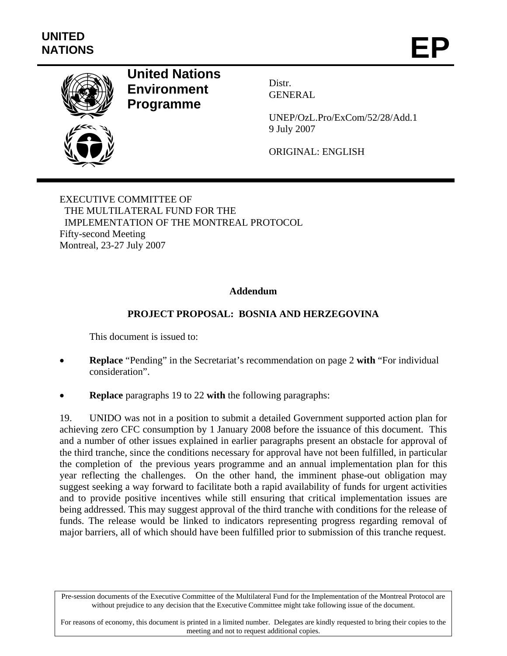

# **United Nations Environment Programme**

Distr. GENERAL

UNEP/OzL.Pro/ExCom/52/28/Add.1 9 July 2007

ORIGINAL: ENGLISH

EXECUTIVE COMMITTEE OF THE MULTILATERAL FUND FOR THE IMPLEMENTATION OF THE MONTREAL PROTOCOL Fifty-second Meeting Montreal, 23-27 July 2007

## **Addendum**

## **PROJECT PROPOSAL: BOSNIA AND HERZEGOVINA**

This document is issued to:

- **Replace** "Pending" in the Secretariat's recommendation on page 2 **with** "For individual consideration".
- **Replace** paragraphs 19 to 22 **with** the following paragraphs:

19. UNIDO was not in a position to submit a detailed Government supported action plan for achieving zero CFC consumption by 1 January 2008 before the issuance of this document. This and a number of other issues explained in earlier paragraphs present an obstacle for approval of the third tranche, since the conditions necessary for approval have not been fulfilled, in particular the completion of the previous years programme and an annual implementation plan for this year reflecting the challenges. On the other hand, the imminent phase-out obligation may suggest seeking a way forward to facilitate both a rapid availability of funds for urgent activities and to provide positive incentives while still ensuring that critical implementation issues are being addressed. This may suggest approval of the third tranche with conditions for the release of funds. The release would be linked to indicators representing progress regarding removal of major barriers, all of which should have been fulfilled prior to submission of this tranche request.

Pre-session documents of the Executive Committee of the Multilateral Fund for the Implementation of the Montreal Protocol are without prejudice to any decision that the Executive Committee might take following issue of the document.

For reasons of economy, this document is printed in a limited number. Delegates are kindly requested to bring their copies to the meeting and not to request additional copies.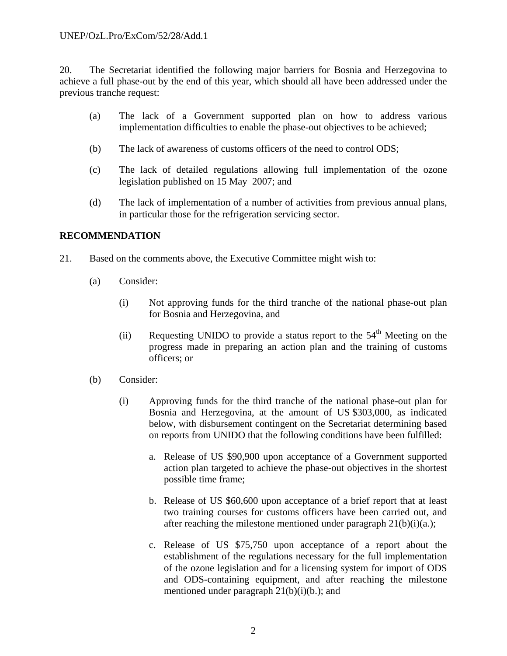#### UNEP/OzL.Pro/ExCom/52/28/Add.1

20. The Secretariat identified the following major barriers for Bosnia and Herzegovina to achieve a full phase-out by the end of this year, which should all have been addressed under the previous tranche request:

- (a) The lack of a Government supported plan on how to address various implementation difficulties to enable the phase-out objectives to be achieved;
- (b) The lack of awareness of customs officers of the need to control ODS;
- (c) The lack of detailed regulations allowing full implementation of the ozone legislation published on 15 May 2007; and
- (d) The lack of implementation of a number of activities from previous annual plans, in particular those for the refrigeration servicing sector.

### **RECOMMENDATION**

- 21. Based on the comments above, the Executive Committee might wish to:
	- (a) Consider:
		- (i) Not approving funds for the third tranche of the national phase-out plan for Bosnia and Herzegovina, and
		- (ii) Requesting UNIDO to provide a status report to the  $54<sup>th</sup>$  Meeting on the progress made in preparing an action plan and the training of customs officers; or
	- (b) Consider:
		- (i) Approving funds for the third tranche of the national phase-out plan for Bosnia and Herzegovina, at the amount of US \$303,000, as indicated below, with disbursement contingent on the Secretariat determining based on reports from UNIDO that the following conditions have been fulfilled:
			- a. Release of US \$90,900 upon acceptance of a Government supported action plan targeted to achieve the phase-out objectives in the shortest possible time frame;
			- b. Release of US \$60,600 upon acceptance of a brief report that at least two training courses for customs officers have been carried out, and after reaching the milestone mentioned under paragraph  $21(b)(i)(a)$ ;
			- c. Release of US \$75,750 upon acceptance of a report about the establishment of the regulations necessary for the full implementation of the ozone legislation and for a licensing system for import of ODS and ODS-containing equipment, and after reaching the milestone mentioned under paragraph 21(b)(i)(b.); and